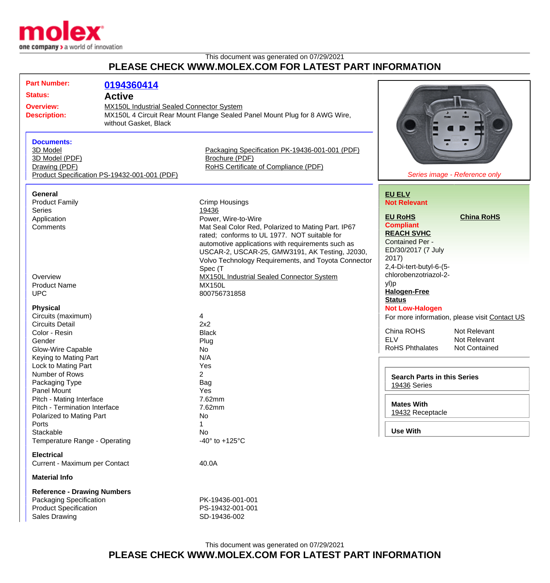

## This document was generated on 07/29/2021 **PLEASE CHECK WWW.MOLEX.COM FOR LATEST PART INFORMATION**

| <b>Part Number:</b><br><b>Status:</b><br><b>Overview:</b><br><b>Description:</b><br><b>Documents:</b><br>3D Model<br>3D Model (PDF)<br>Drawing (PDF)            | 0194360414<br><b>Active</b><br>MX150L Industrial Sealed Connector System<br>MX150L 4 Circuit Rear Mount Flange Sealed Panel Mount Plug for 8 AWG Wire,<br>without Gasket, Black<br>Packaging Specification PK-19436-001-001 (PDF)<br>Brochure (PDF)<br>RoHS Certificate of Compliance (PDF) |                                                                                                                                                                                                                                                                                                            |                                                                                                                                                                                                 |
|-----------------------------------------------------------------------------------------------------------------------------------------------------------------|---------------------------------------------------------------------------------------------------------------------------------------------------------------------------------------------------------------------------------------------------------------------------------------------|------------------------------------------------------------------------------------------------------------------------------------------------------------------------------------------------------------------------------------------------------------------------------------------------------------|-------------------------------------------------------------------------------------------------------------------------------------------------------------------------------------------------|
| <b>General</b><br><b>Product Family</b><br><b>Series</b><br>Application<br>Comments                                                                             | Product Specification PS-19432-001-001 (PDF)                                                                                                                                                                                                                                                | <b>Crimp Housings</b><br>19436<br>Power, Wire-to-Wire<br>Mat Seal Color Red, Polarized to Mating Part. IP67                                                                                                                                                                                                | Series image - Reference only<br><b>EU ELV</b><br><b>Not Relevant</b><br><b>China RoHS</b><br><b>EU RoHS</b><br><b>Compliant</b>                                                                |
| Overview<br><b>Product Name</b><br><b>UPC</b>                                                                                                                   |                                                                                                                                                                                                                                                                                             | rated; conforms to UL 1977. NOT suitable for<br>automotive applications with requirements such as<br>USCAR-2, USCAR-25, GMW3191, AK Testing, J2030,<br>Volvo Technology Requirements, and Toyota Connector<br>Spec (T<br><b>MX150L Industrial Sealed Connector System</b><br><b>MX150L</b><br>800756731858 | <b>REACH SVHC</b><br><b>Contained Per -</b><br>ED/30/2017 (7 July<br>2017)<br>2,4-Di-tert-butyl-6-(5-<br>chlorobenzotriazol-2-<br>yl)p<br><b>Halogen-Free</b>                                   |
| <b>Physical</b><br>Circuits (maximum)<br><b>Circuits Detail</b><br>Color - Resin<br>Gender<br>Glow-Wire Capable<br>Keying to Mating Part                        |                                                                                                                                                                                                                                                                                             | 4<br>2x2<br><b>Black</b><br>Plug<br>No<br>N/A                                                                                                                                                                                                                                                              | <b>Status</b><br><b>Not Low-Halogen</b><br>For more information, please visit Contact US<br>China ROHS<br>Not Relevant<br><b>ELV</b><br>Not Relevant<br><b>RoHS Phthalates</b><br>Not Contained |
| Lock to Mating Part<br>Number of Rows<br>Packaging Type<br>Panel Mount<br>Pitch - Mating Interface<br>Pitch - Termination Interface<br>Polarized to Mating Part |                                                                                                                                                                                                                                                                                             | Yes<br>$\mathbf{2}$<br>Bag<br>Yes<br>7.62mm<br>7.62mm<br>No                                                                                                                                                                                                                                                | <b>Search Parts in this Series</b><br>19436 Series<br><b>Mates With</b><br>19432 Receptacle                                                                                                     |
| Ports<br>Stackable<br>Temperature Range - Operating<br><b>Electrical</b><br>Current - Maximum per Contact                                                       |                                                                                                                                                                                                                                                                                             | 1<br>No<br>-40 $\degree$ to +125 $\degree$ C<br>40.0A                                                                                                                                                                                                                                                      | <b>Use With</b>                                                                                                                                                                                 |
| <b>Material Info</b><br><b>Reference - Drawing Numbers</b><br>Packaging Specification<br><b>Product Specification</b><br><b>Sales Drawing</b>                   |                                                                                                                                                                                                                                                                                             | PK-19436-001-001<br>PS-19432-001-001<br>SD-19436-002                                                                                                                                                                                                                                                       |                                                                                                                                                                                                 |